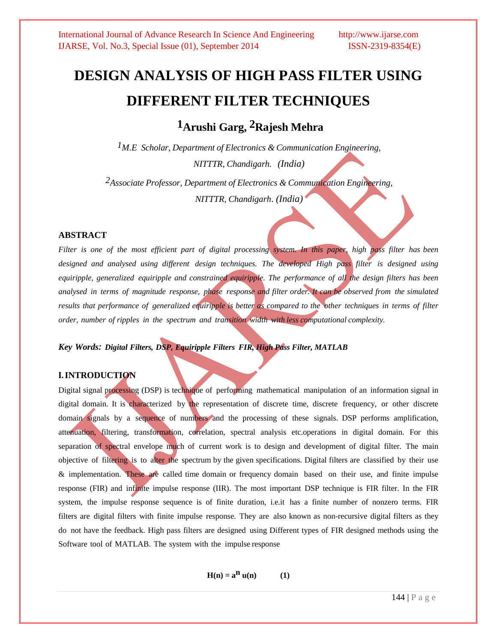# **DESIGN ANALYSIS OF HIGH PASS FILTER USING DIFFERENT FILTER TECHNIQUES**

**1Arushi Garg, 2Rajesh Mehra**

*1M.E Scholar, Department of Electronics & Communication Engineering, NITTTR, Chandigarh. (India)*

*2Associate Professor, Department of Electronics & Communication Engineering, NITTTR, Chandigarh*. *(India)*

## **ABSTRACT**

Filter is one of the most efficient part of digital processing system. In this paper, high pass filter has been *designed and analysed using different design techniques. The developed High pass filter is designed using equiripple, generalized equiripple and constrained equiripple. The performance of all the design filters has been* analysed in terms of magnitude response, phase response and filter order. It can be observed from the simulated results that performance of generalized equiripple is better as compared to the other techniques in terms of filter *order, number of ripples in the spectrum and transition width with less computational complexity.*

*Key Words: Digital Filters, DSP, Equiripple Filters FIR, High Pass Filter, MATLAB*

# **I.INTRODUCTION**

Digital signal processing (DSP) is technique of performing mathematical manipulation of an information signal in digital domain. It is characterized by the representation of discrete time, discrete frequency, or other discrete domain signals by a sequence of numbers and the processing of these signals. DSP performs amplification, attenuation, filtering, transformation, correlation, spectral analysis etc.operations in digital domain. For this separation of spectral envelope much of current work is to design and development of digital filter. The main objective of filtering is to alter the spectrum by the given specifications. Digital filters are classified by their use & implementation. These are called time domain or frequency domain based on their use, and finite impulse response (FIR) and infinite impulse response (IIR). The most important DSP technique is FIR filter. In the FIR system, the impulse response sequence is of finite duration, i.e.it has a finite number of nonzero terms. FIR filters are digital filters with finite impulse response. They are also known as non-recursive digital filters as they do not have the feedback. High pass filters are designed using Different types of FIR designed methods using the Software tool of MATLAB. The system with the impulse response

**H**(n) =  $a^n$  **u**(n) (1)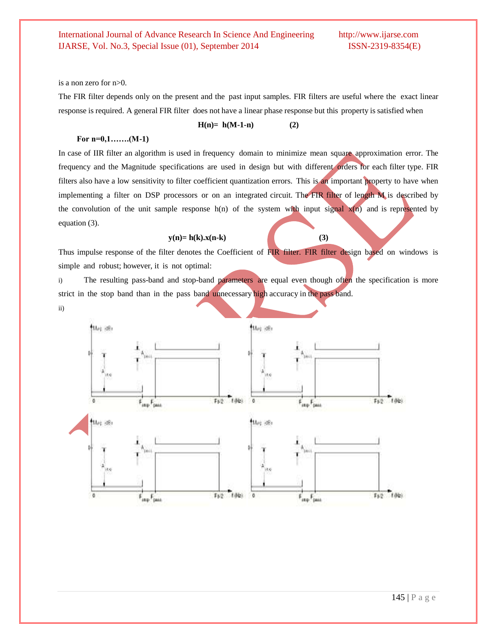is a non zero for n>0.

The FIR filter depends only on the present and the past input samples. FIR filters are useful where the exact linear response is required. A general FIR filter does not have a linear phase response but this property is satisfied when

**H(n)= h(M-1-n) (2)**

#### **For n=0,1…….(M-1)**

In case of IIR filter an algorithm is used in frequency domain to minimize mean square approximation error. The frequency and the Magnitude specifications are used in design but with different orders for each filter type. FIR filters also have a low sensitivity to filter coefficient quantization errors. This is an important property to have when implementing a filter on DSP processors or on an integrated circuit. The FIR filter of length M is described by the convolution of the unit sample response  $h(n)$  of the system with input signal  $x(n)$  and is represented by equation (3).

#### $y(n) = h(k)x(n-k)$  (3)

Thus impulse response of the filter denotes the Coefficient of FIR filter. FIR filter design based on windows is simple and robust; however, it is not optimal:

i) The resulting pass-band and stop-band parameters are equal even though often the specification is more strict in the stop band than in the pass band unnecessary high accuracy in the pass band.

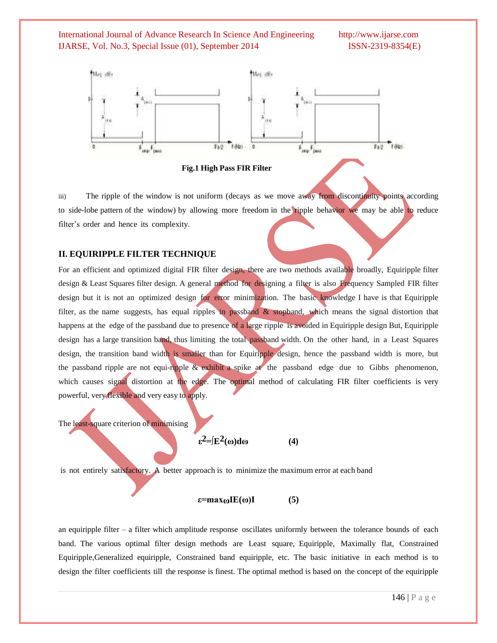



iii) The ripple of the window is not uniform (decays as we move away from discontinuity points according to side-lobe pattern of the window) by allowing more freedom in the ripple behavior we may be able to reduce filter's order and hence its complexity.

#### **II. EQUIRIPPLE FILTER TECHNIQUE**

For an efficient and optimized digital FIR filter design, there are two methods available broadly, Equiripple filter design & Least Squares filter design. A general method for designing a filter is also Frequency Sampled FIR filter design but it is not an optimized design for error minimization. The basic knowledge I have is that Equiripple filter, as the name suggests, has equal ripples in passband & stopband, which means the signal distortion that happens at the edge of the passband due to presence of a large ripple is avoided in Equiripple design But, Equiripple design has a large transition band, thus limiting the total passband width. On the other hand, in a Least Squares design, the transition band width is smaller than for Equiripple design, hence the passband width is more, but the passband ripple are not equi-ripple  $\&$  exhibit a spike at the passband edge due to Gibbs phenomenon, which causes signal distortion at the edge. The optimal method of calculating FIR filter coefficients is very powerful, very flexible and very easy to apply.

The least-square criterion of minimising

$$
\varepsilon^2 = \int E^2(\omega) d\omega \tag{4}
$$

is not entirely satisfactory. A better approach is to minimize the maximum error at each band

$$
\varepsilon = \max_{\omega} \mathbf{I} \mathbf{E}(\omega) \mathbf{I} \tag{5}
$$

an equiripple filter *–* a filter which amplitude response oscillates uniformly between the tolerance bounds of each band. The various optimal filter design methods are Least square, Equiripple, Maximally flat, Constrained Equiripple,Generalized equiripple, Constrained band equiripple, etc. The basic initiative in each method is to design the filter coefficients till the response is finest. The optimal method is based on the concept of the equiripple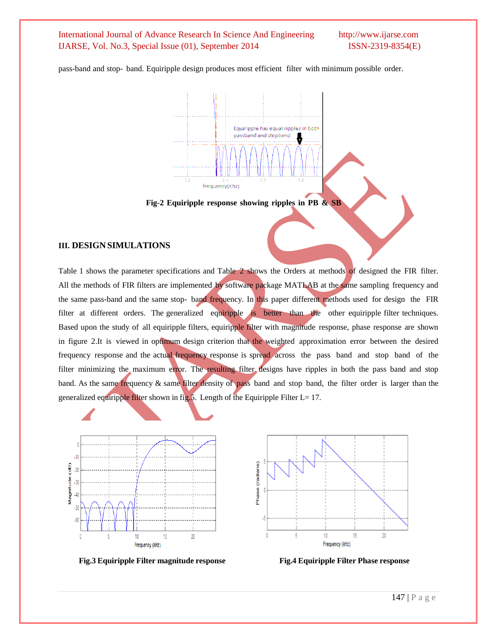pass-band and stop- band. Equiripple design produces most efficient filter with minimum possible order.



#### **Fig-2 Equiripple response showing ripples in PB & SB**

# **III. DESIGN SIMULATIONS**

Table 1 shows the parameter specifications and Table 2 shows the Orders at methods of designed the FIR filter. All the methods of FIR filters are implemented by software package MATLAB at the same sampling frequency and the same pass-band and the same stop- band frequency. In this paper different methods used for design the FIR filter at different orders. The generalized equiripple is better than the other equiripple filter techniques. Based upon the study of all equiripple filters, equiripple filter with magnitude response, phase response are shown in figure 2.It is viewed in optimum design criterion that the weighted approximation error between the desired frequency response and the actual frequency response is spread across the pass band and stop band of the filter minimizing the maximum error. The resulting filter designs have ripples in both the pass band and stop band. As the same frequency & same filter density of pass band and stop band, the filter order is larger than the generalized equiripple filter shown in fig.5. Length of the Equiripple Filter L=  $17$ .



**Fig.3 Equiripple Filter magnitude response Fig.4 Equiripple Filter Phase response**

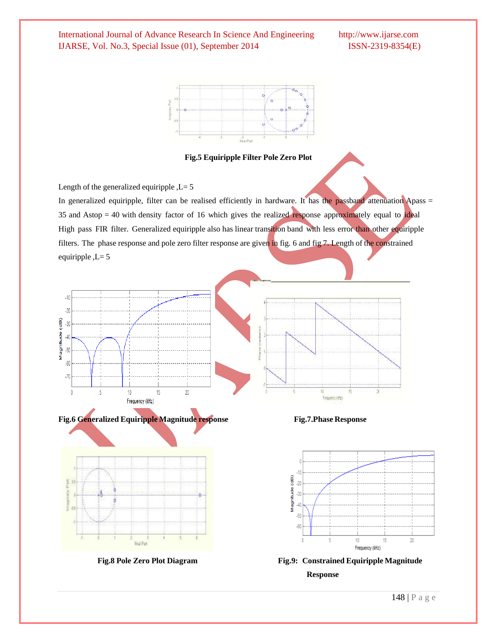

**Fig.5 Equiripple Filter Pole Zero Plot**

Length of the generalized equiripple  $,L=5$ 

In generalized equiripple, filter can be realised efficiently in hardware. It has the passband attenuation Apass = 35 and Astop  $= 40$  with density factor of 16 which gives the realized response approximately equal to ideal High pass FIR filter. Generalized equiripple also has linear transition band with less error than other equiripple filters. The phase response and pole zero filter response are given in fig. 6 and fig 7. Length of the constrained equiripple  $,L=5$ 









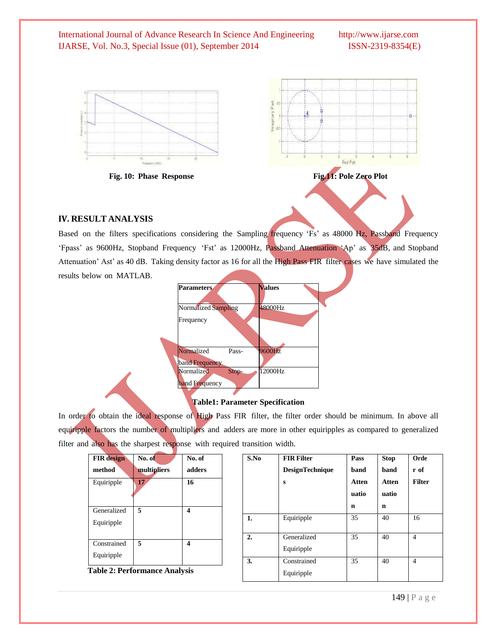| International Journal of Advance Research In Science And Engineering | http://www.ijarse.com |
|----------------------------------------------------------------------|-----------------------|
| IJARSE, Vol. No.3, Special Issue (01), September 2014                | $ISSN-2319-8354(E)$   |







Based on the filters specifications considering the Sampling frequency 'Fs' as 48000 Hz, Passband Frequency "Fpass" as 9600Hz, Stopband Frequency "Fst" as 12000Hz, Passband Attenuation "Ap" as 35dB, and Stopband Attenuation" Ast" as 40 dB. Taking density factor as 16 for all the High Pass FIR filter cases we have simulated the results below on MATLAB.

| <b>Parameters</b>   | <b>Values</b> |
|---------------------|---------------|
| Normalized Sampling | 48000Hz       |
| Frequency           |               |
|                     |               |
| Normalized<br>Pass- | 9600Hz        |
| band Frequency      |               |
| Normalized<br>Stop- | 12000Hz       |
| band Frequency      |               |

# **Table1: Parameter Specification**

In order to obtain the ideal response of High Pass FIR filter, the filter order should be minimum. In above all equiripple factors the number of multipliers and adders are more in other equiripples as compared to generalized filter and also has the sharpest response with required transition width.

| <b>FIR</b> design                         | No. of                | No. of |
|-------------------------------------------|-----------------------|--------|
| method                                    | multipliers           | adders |
| Equiripple                                | 17                    | 16     |
| Generalized<br>Equiripple                 | 5                     | 4      |
| Constrained<br>Equiripple<br>T.L. 1. D.L. | 5<br>$\Lambda \sim 1$ | 4      |

**Table 2: Performance Analysis** 

| S.No           | <b>FIR Filter</b><br><b>DesignTechnique</b><br>S | Pass<br>band<br><b>Atten</b><br>uatio<br>n | <b>Stop</b><br>band<br><b>Atten</b><br>uatio<br>n | Orde<br>r of<br><b>Filter</b> |
|----------------|--------------------------------------------------|--------------------------------------------|---------------------------------------------------|-------------------------------|
| 1.             | Equiripple                                       | 35                                         | 40                                                | 16                            |
| $\overline{2}$ | Generalized<br>Equiripple                        | 35                                         | 40                                                | 4                             |
| 3.             | Constrained<br>Equiripple                        | 35                                         | 40                                                | 4                             |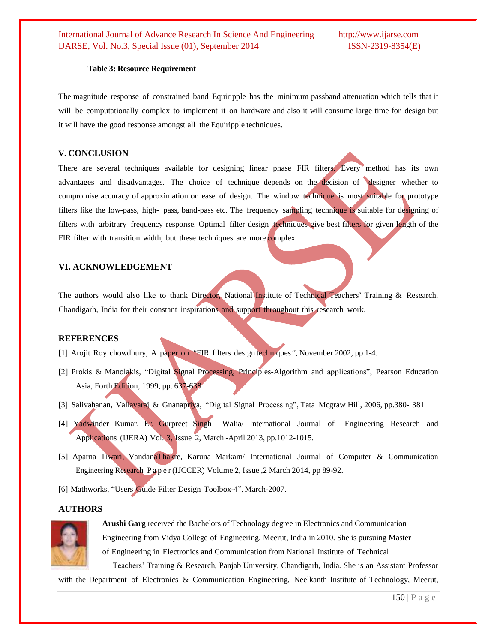#### **Table 3: Resource Requirement**

The magnitude response of constrained band Equiripple has the minimum passband attenuation which tells that it will be computationally complex to implement it on hardware and also it will consume large time for design but it will have the good response amongst all the Equiripple techniques.

### **V. CONCLUSION**

There are several techniques available for designing linear phase FIR filters. Every method has its own advantages and disadvantages. The choice of technique depends on the decision of designer whether to compromise accuracy of approximation or ease of design. The window technique is most suitable for prototype filters like the low-pass, high- pass, band-pass etc. The frequency sampling technique is suitable for designing of filters with arbitrary frequency response. Optimal filter design techniques give best filters for given length of the FIR filter with transition width, but these techniques are more complex.

## **VI. ACKNOWLEDGEMENT**

The authors would also like to thank Director, National Institute of Technical Teachers" Training & Research, Chandigarh, India for their constant inspirations and support throughout this research work.

#### **REFERENCES**

- [1] Arojit Roy chowdhury, A paper on *"*FIR filters design techniques*"*, November 2002, pp 1-4.
- [2] Prokis & Manolakis, "Digital Signal Processing, Principles-Algorithm and applications", Pearson Education Asia, Forth Edition, 1999, pp. 637-638
- [3] Salivahanan, Vallavaraj & Gnanapriya, "Digital Signal Processing", Tata Mcgraw Hill, 2006, pp.380- 381
- [4] Yadwinder Kumar, Er. Gurpreet Singh Walia/ International Journal of Engineering Research and Applications (IJERA) Vol. 3, Issue 2, March -April 2013, pp.1012-1015.
- [5] Aparna Tiwari, VandanaThakre, Karuna Markam/ International Journal of Computer & Communication Engineering Research P a p e r (IJCCER) Volume 2, Issue ,2 March 2014, pp 89-92.
- [6] Mathworks, "Users Guide Filter Design Toolbox-4", March-2007.

# **AUTHORS**



 **Arushi Garg** received the Bachelors of Technology degree in Electronics and Communication Engineering from Vidya College of Engineering, Meerut, India in 2010. She is pursuing Master of Engineering in Electronics and Communication from National Institute of Technical Teachers" Training & Research, Panjab University, Chandigarh, India. She is an Assistant Professor

with the Department of Electronics & Communication Engineering, Neelkanth Institute of Technology, Meerut,